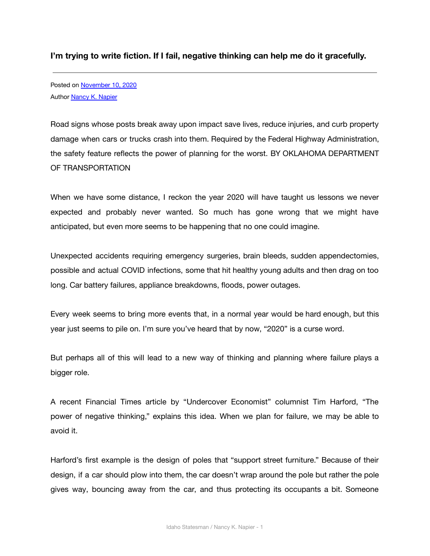**I'm trying to write fiction. If I fail, negative thinking can help me do it gracefully.**

Posted on [November 10, 2020](http://nancyknapier.com/im-trying-to-write-fiction-if-i-fail-negative-thinking-can-help-me-do-it-gracefully/) Author **[Nancy K. Napier](http://nancyknapier.com/author/createboisestate-edu/)** 

Road signs whose posts break away upon impact save lives, reduce injuries, and curb property damage when cars or trucks crash into them. Required by the Federal Highway Administration, the safety feature reflects the power of planning for the worst. BY OKLAHOMA DEPARTMENT OF TRANSPORTATION

When we have some distance, I reckon the year 2020 will have taught us lessons we never expected and probably never wanted. So much has gone wrong that we might have anticipated, but even more seems to be happening that no one could imagine.

Unexpected accidents requiring emergency surgeries, brain bleeds, sudden appendectomies, possible and actual COVID infections, some that hit healthy young adults and then drag on too long. Car battery failures, appliance breakdowns, floods, power outages.

Every week seems to bring more events that, in a normal year would be hard enough, but this year just seems to pile on. I'm sure you've heard that by now, "2020" is a curse word.

But perhaps all of this will lead to a new way of thinking and planning where failure plays a bigger role.

A recent Financial Times article by "Undercover Economist" columnist Tim Harford, "The power of negative thinking," explains this idea. When we plan for failure, we may be able to avoid it.

Harford's first example is the design of poles that "support street furniture." Because of their design, if a car should plow into them, the car doesn't wrap around the pole but rather the pole gives way, bouncing away from the car, and thus protecting its occupants a bit. Someone